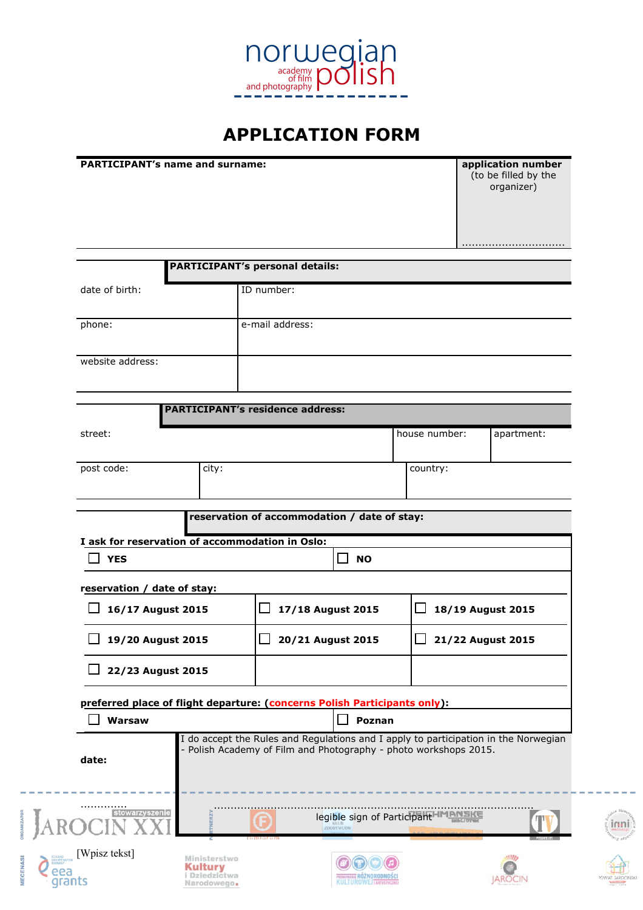

## **APPLICATION FORM**

**PARTICIPANT's name and surname:** 

**MECENASI** 

(to be filled by the organizer)

|                                                                           |       | <b>PARTICIPANT's personal details:</b>                                                                                                                  |                           |                                    |            |  |
|---------------------------------------------------------------------------|-------|---------------------------------------------------------------------------------------------------------------------------------------------------------|---------------------------|------------------------------------|------------|--|
| date of birth:                                                            |       | ID number:                                                                                                                                              |                           |                                    |            |  |
| phone:                                                                    |       | e-mail address:                                                                                                                                         |                           |                                    |            |  |
|                                                                           |       |                                                                                                                                                         |                           |                                    |            |  |
| website address:                                                          |       |                                                                                                                                                         |                           |                                    |            |  |
|                                                                           |       | <b>PARTICIPANT's residence address:</b>                                                                                                                 |                           |                                    |            |  |
|                                                                           |       |                                                                                                                                                         |                           |                                    |            |  |
| street:                                                                   |       |                                                                                                                                                         |                           | house number:                      | apartment: |  |
| post code:                                                                | city: |                                                                                                                                                         |                           | country:                           |            |  |
|                                                                           |       |                                                                                                                                                         |                           |                                    |            |  |
|                                                                           |       | reservation of accommodation / date of stay:                                                                                                            |                           |                                    |            |  |
| I ask for reservation of accommodation in Oslo:<br><b>YES</b>             |       |                                                                                                                                                         | $\mathsf{L}$<br><b>NO</b> |                                    |            |  |
|                                                                           |       |                                                                                                                                                         |                           |                                    |            |  |
| reservation / date of stay:                                               |       |                                                                                                                                                         |                           |                                    |            |  |
| 16/17 August 2015                                                         |       | 17/18 August 2015                                                                                                                                       |                           | 18/19 August 2015                  |            |  |
| 19/20 August 2015                                                         |       | 20/21 August 2015                                                                                                                                       |                           | 21/22 August 2015                  |            |  |
| 22/23 August 2015                                                         |       |                                                                                                                                                         |                           |                                    |            |  |
| preferred place of flight departure: (concerns Polish Participants only): |       |                                                                                                                                                         |                           |                                    |            |  |
| Warsaw                                                                    |       |                                                                                                                                                         | $\Box$<br>Poznan          |                                    |            |  |
| date:                                                                     |       | I do accept the Rules and Regulations and I apply to participation in the Norwegian<br>- Polish Academy of Film and Photography - photo workshops 2015. |                           |                                    |            |  |
| stowarzyszenie                                                            |       |                                                                                                                                                         | ZDOBYWCÓW                 | legible sign of ParticipantHMENSKE |            |  |
|                                                                           |       |                                                                                                                                                         |                           |                                    |            |  |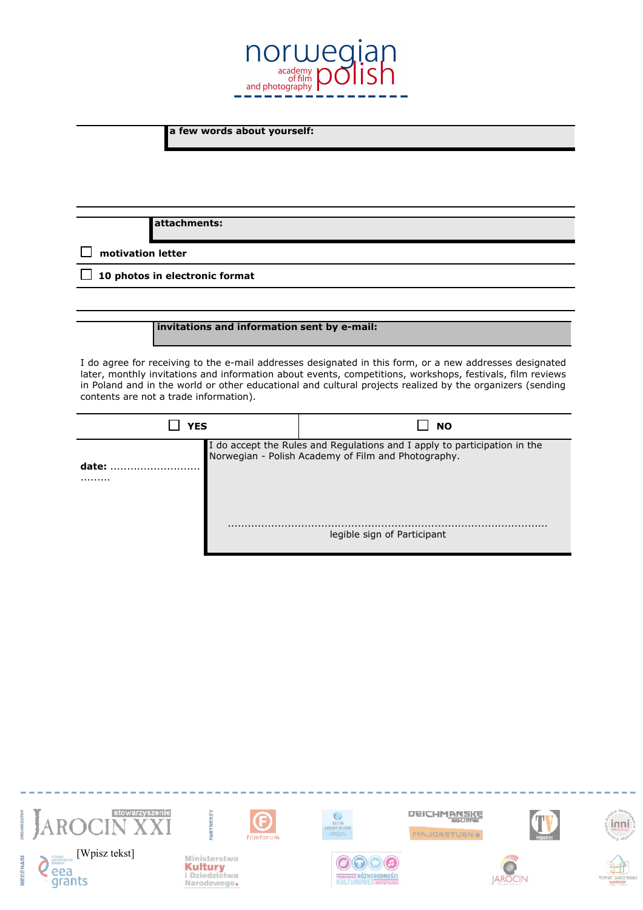

**a few words about yourself:**

**attachments:**

 **motivation letter**

**10 photos in electronic format**

**invitations and information sent by e-mail:**

I do agree for receiving to the e-mail addresses designated in this form, or a new addresses designated later, monthly invitations and information about events, competitions, workshops, festivals, film reviews in Poland and in the world or other educational and cultural projects realized by the organizers (sending contents are not a trade information).

| YES       |  | <b>NO</b>                                                                                                                     |  |  |
|-----------|--|-------------------------------------------------------------------------------------------------------------------------------|--|--|
| date:<br> |  | I do accept the Rules and Regulations and I apply to participation in the Norwegian - Polish Academy of Film and Photography. |  |  |
|           |  | legible sign of Participant                                                                                                   |  |  |